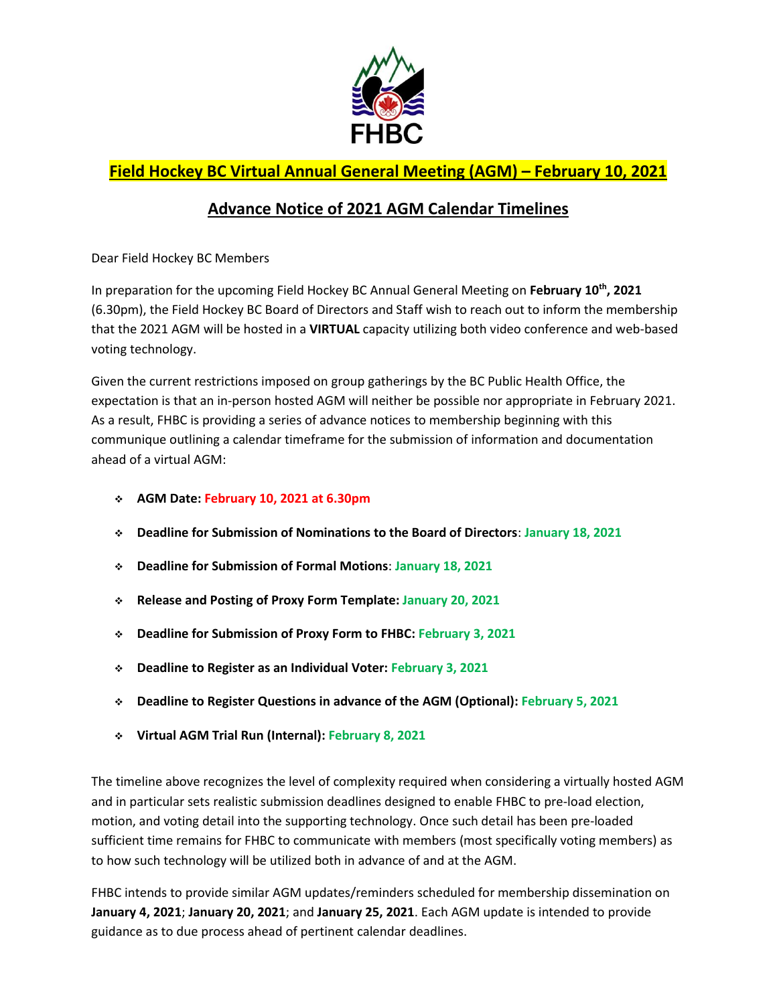

## **Field Hockey BC Virtual Annual General Meeting (AGM) – February 10, 2021**

## **Advance Notice of 2021 AGM Calendar Timelines**

Dear Field Hockey BC Members

In preparation for the upcoming Field Hockey BC Annual General Meeting on **February 10th , 2021** (6.30pm), the Field Hockey BC Board of Directors and Staff wish to reach out to inform the membership that the 2021 AGM will be hosted in a **VIRTUAL** capacity utilizing both video conference and web-based voting technology.

Given the current restrictions imposed on group gatherings by the BC Public Health Office, the expectation is that an in-person hosted AGM will neither be possible nor appropriate in February 2021. As a result, FHBC is providing a series of advance notices to membership beginning with this communique outlining a calendar timeframe for the submission of information and documentation ahead of a virtual AGM:

- **AGM Date: February 10, 2021 at 6.30pm**
- **Deadline for Submission of Nominations to the Board of Directors**: **January 18, 2021**
- **Deadline for Submission of Formal Motions**: **January 18, 2021**
- **Release and Posting of Proxy Form Template: January 20, 2021**
- **Deadline for Submission of Proxy Form to FHBC: February 3, 2021**
- **Deadline to Register as an Individual Voter: February 3, 2021**
- **Deadline to Register Questions in advance of the AGM (Optional): February 5, 2021**
- **Virtual AGM Trial Run (Internal): February 8, 2021**

The timeline above recognizes the level of complexity required when considering a virtually hosted AGM and in particular sets realistic submission deadlines designed to enable FHBC to pre-load election, motion, and voting detail into the supporting technology. Once such detail has been pre-loaded sufficient time remains for FHBC to communicate with members (most specifically voting members) as to how such technology will be utilized both in advance of and at the AGM.

FHBC intends to provide similar AGM updates/reminders scheduled for membership dissemination on **January 4, 2021**; **January 20, 2021**; and **January 25, 2021**. Each AGM update is intended to provide guidance as to due process ahead of pertinent calendar deadlines.